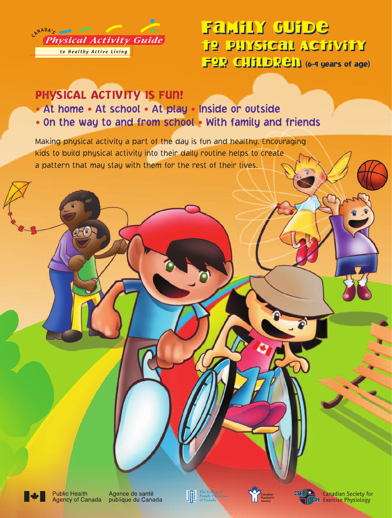

# Family Guide Family Guide to Physical Activity to Physical Activity FOR CHILDREN (6-9 years of age)

# PHYSICAL ACTIVITY IS FUN!

- At home At school At play Inside or outside
- On the way to and from school With family and friends

Making physical activity a part of the day is fun and healthy. Encouraging kids to build physical activity into their daily routine helps to create a pattern that may stay with them for the rest of their lives.



**Public Health Agency of Canada**  Agence de santé publique du Canada







**Canadian Society for SCPE** Exercise Physiology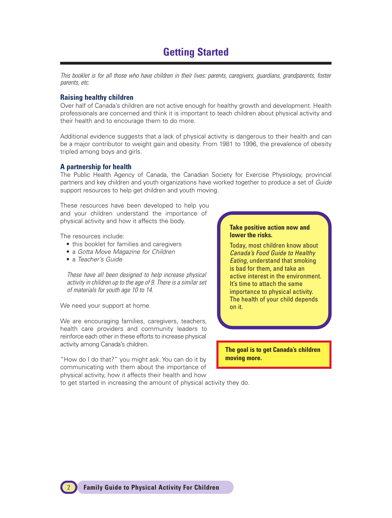## **Getting Started**

This booklet is for all those who have children in their lives: parents, caregivers, guardians, grandparents, foster parents, etc.

#### **Raising healthy children**

Over half of Canada's children are not active enough for healthy growth and development. Health professionals are concerned and think it is important to teach children about physical activity and their health and to encourage them to do more.

Additional evidence suggests that a lack of physical activity is dangerous to their health and can be a major contributor to weight gain and obesity. From 1981 to 1996, the prevalence of obesity tripled among boys and girls.

#### **A partnership for health**

The Public Health Agency of Canada, the Canadian Society for Exercise Physiology, provincial partners and key children and youth organizations have worked together to produce a set of Guide support resources to help get children and youth moving.

These resources have been developed to help you and your children understand the importance of physical activity and how it affects the body.

The resources include:

- this booklet for families and caregivers
- a Gotta Move Magazine for Children
- a Teacher's Guide

These have all been designed to help increase physical activity in children up to the age of 9. There is a similar set of materials for youth age 10 to 14.

We need your support at home.

We are encouraging families, caregivers, teachers, health care providers and community leaders to reinforce each other in these efforts to increase physical activity among Canada's children.

"How do I do that?" you might ask. You can do it by communicating with them about the importance of physical activity, how it affects their health and how

#### **Take positive action now and lower the risks.**

Today, most children know about Canada's Food Guide to Healthy Eating, understand that smoking is bad for them, and take an active interest in the environment. It's time to attach the same importance to physical activity. The health of your child depends on it.

**The goal is to get Canada's children moving more.**

to get started in increasing the amount of physical activity they do.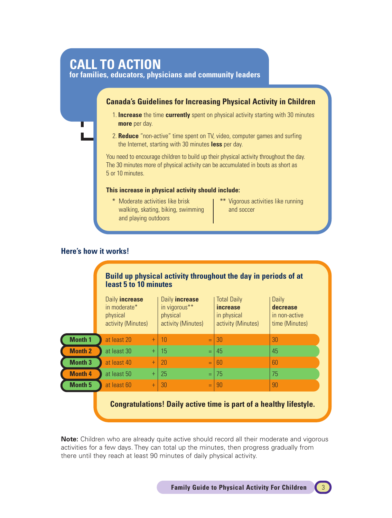# **CALL TO ACTION**

**for families, educators, physicians and community leaders**

#### **Canada's Guidelines for Increasing Physical Activity in Children**

- 1. **Increase** the time **currently** spent on physical activity starting with 30 minutes **more** per day.
- 2. **Reduce** "non-active" time spent on TV, video, computer games and surfing the Internet, starting with 30 minutes **less** per day.

You need to encourage children to build up their physical activity throughout the day. The 30 minutes more of physical activity can be accumulated in bouts as short as 5 or 10 minutes.

#### **This increase in physical activity should include:**

- \* Moderate activities like brisk walking, skating, biking, swimming and playing outdoors
- \*\* Vigorous activities like running and soccer

#### **Here's how it works!**

#### **Build up physical activity throughout the day in periods of at least 5 to 10 minutes** Daily **increase** in moderate\* physical activity (Minutes) Daily **increase** in vigorous\*\* physical activity (Minutes) Total Daily **increase** in physical activity (Minutes) **Daily decrease** in non-active time (Minutes) at least 20 at least 30 at least 40 at least 50 at least 60 10 15 20 25 30 30 45 60 75 90 30 45 60 75 90 + + + + + = = = = = **Month 1 Month 2 Month 3 Month 4 Month 5**

**Congratulations! Daily active time is part of a healthy lifestyle.**

**Note:** Children who are already quite active should record all their moderate and vigorous activities for a few days. They can total up the minutes, then progress gradually from there until they reach at least 90 minutes of daily physical activity.

**Family Guide to Physical Activity For Children**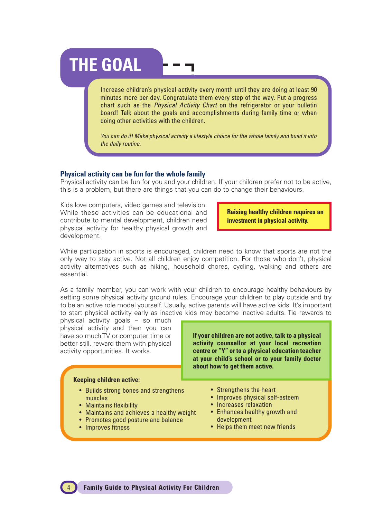# **THE GOAL**

Increase children's physical activity every month until they are doing at least 90 minutes more per day. Congratulate them every step of the way. Put a progress chart such as the *Physical Activity Chart* on the refrigerator or your bulletin board! Talk about the goals and accomplishments during family time or when doing other activities with the children.

You can do it! Make physical activity a lifestyle choice for the whole family and build it into the daily routine.

#### **Physical activity can be fun for the whole family**

Physical activity can be fun for you and your children. If your children prefer not to be active, this is a problem, but there are things that you can do to change their behaviours.

Kids love computers, video games and television. While these activities can be educational and contribute to mental development, children need physical activity for healthy physical growth and development.

**Raising healthy children requires an investment in physical activity.**

While participation in sports is encouraged, children need to know that sports are not the only way to stay active. Not all children enjoy competition. For those who don't, physical activity alternatives such as hiking, household chores, cycling, walking and others are essential.

As a family member, you can work with your children to encourage healthy behaviours by setting some physical activity ground rules. Encourage your children to play outside and try to be an active role model yourself. Usually, active parents will have active kids. It's important to start physical activity early as inactive kids may become inactive adults. Tie rewards to

physical activity goals – so much physical activity and then you can have so much TV or computer time or better still, reward them with physical activity opportunities. It works.

#### **Keeping children active:**

- Builds strong bones and strengthens muscles
- Maintains flexibility
- Maintains and achieves a healthy weight
- Promotes good posture and balance
- Improves fitness

**If your children are not active, talk to a physical activity counsellor at your local recreation centre or "Y" or to a physical education teacher at your child's school or to your family doctor about how to get them active.**

- Strengthens the heart
- Improves physical self-esteem
- Increases relaxation
- Enhances healthy growth and development
- Helps them meet new friends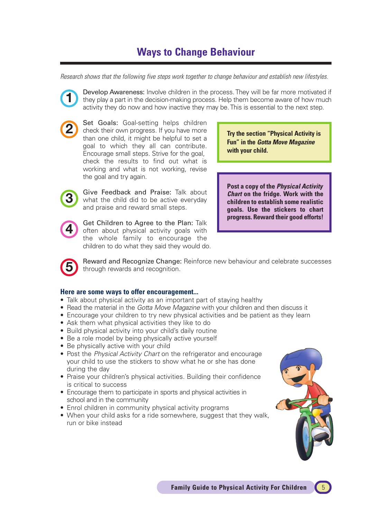# **Ways to Change Behaviour**

Research shows that the following five steps work together to change behaviour and establish new lifestyles.

**1**

Develop Awareness: Involve children in the process. They will be far more motivated if they play a part in the decision-making process. Help them become aware of how much activity they do now and how inactive they may be. This is essential to the next step.



Set Goals: Goal-setting helps children check their own progress. If you have more than one child, it might be helpful to set a goal to which they all can contribute. Encourage small steps. Strive for the goal, check the results to find out what is working and what is not working, revise the goal and try again.

Give Feedback and Praise: Talk about what the child did to be active everyday and praise and reward small steps.



**3**

Get Children to Agree to the Plan: Talk often about physical activity goals with the whole family to encourage the children to do what they said they would do. **Try the section "Physical Activity is Fun" in the Gotta Move Magazine with your child.**

**Post a copy of the Physical Activity Chart on the fridge. Work with the children to establish some realistic goals. Use the stickers to chart progress. Reward their good efforts!**



Reward and Recognize Change: Reinforce new behaviour and celebrate successes through rewards and recognition.

#### **Here are some ways to offer encouragement...**

- Talk about physical activity as an important part of staying healthy
- Read the material in the Gotta Move Magazine with your children and then discuss it
- Encourage your children to try new physical activities and be patient as they learn
- Ask them what physical activities they like to do
- Build physical activity into your child's daily routine
- Be a role model by being physically active yourself
- Be physically active with your child
- Post the Physical Activity Chart on the refrigerator and encourage your child to use the stickers to show what he or she has done during the day
- Praise your children's physical activities. Building their confidence is critical to success
- Encourage them to participate in sports and physical activities in school and in the community
- Enrol children in community physical activity programs
- When your child asks for a ride somewhere, suggest that they walk, run or bike instead

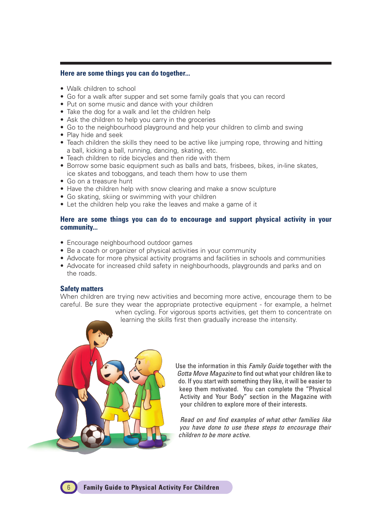#### **Here are some things you can do together...**

- Walk children to school
- Go for a walk after supper and set some family goals that you can record
- Put on some music and dance with your children
- Take the dog for a walk and let the children help
- Ask the children to help you carry in the groceries
- Go to the neighbourhood playground and help your children to climb and swing
- Play hide and seek
- Teach children the skills they need to be active like jumping rope, throwing and hitting a ball, kicking a ball, running, dancing, skating, etc.
- Teach children to ride bicycles and then ride with them
- Borrow some basic equipment such as balls and bats, frisbees, bikes, in-line skates, ice skates and toboggans, and teach them how to use them
- Go on a treasure hunt
- Have the children help with snow clearing and make a snow sculpture
- Go skating, skiing or swimming with your children
- Let the children help you rake the leaves and make a game of it

#### **Here are some things you can do to encourage and support physical activity in your community...**

- Encourage neighbourhood outdoor games
- Be a coach or organizer of physical activities in your community
- Advocate for more physical activity programs and facilities in schools and communities
- Advocate for increased child safety in neighbourhoods, playgrounds and parks and on the roads.

#### **Safety matters**

When children are trying new activities and becoming more active, encourage them to be careful. Be sure they wear the appropriate protective equipment - for example, a helmet when cycling. For vigorous sports activities, get them to concentrate on

learning the skills first then gradually increase the intensity.



Use the information in this Family Guide together with the Gotta Move Magazine to find out what your children like to do. If you start with something they like, it will be easier to keep them motivated. You can complete the "Physical Activity and Your Body" section in the Magazine with your children to explore more of their interests.

Read on and find examples of what other families like you have done to use these steps to encourage their children to be more active.

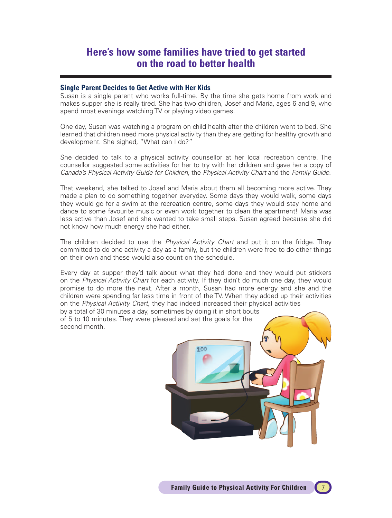## **Here's how some families have tried to get started on the road to better health**

#### **Single Parent Decides to Get Active with Her Kids**

Susan is a single parent who works full-time. By the time she gets home from work and makes supper she is really tired. She has two children, Josef and Maria, ages 6 and 9, who spend most evenings watching TV or playing video games.

One day, Susan was watching a program on child health after the children went to bed. She learned that children need more physical activity than they are getting for healthy growth and development. She sighed, "What can I do?"

She decided to talk to a physical activity counsellor at her local recreation centre. The counsellor suggested some activities for her to try with her children and gave her a copy of Canada's Physical Activity Guide for Children, the Physical Activity Chart and the Family Guide.

That weekend, she talked to Josef and Maria about them all becoming more active. They made a plan to do something together everyday. Some days they would walk, some days they would go for a swim at the recreation centre, some days they would stay home and dance to some favourite music or even work together to clean the apartment! Maria was less active than Josef and she wanted to take small steps. Susan agreed because she did not know how much energy she had either.

The children decided to use the Physical Activity Chart and put it on the fridge. They committed to do one activity a day as a family, but the children were free to do other things on their own and these would also count on the schedule.

Every day at supper they'd talk about what they had done and they would put stickers on the Physical Activity Chart for each activity. If they didn't do much one day, they would promise to do more the next. After a month, Susan had more energy and she and the children were spending far less time in front of the TV. When they added up their activities on the Physical Activity Chart, they had indeed increased their physical activities

by a total of 30 minutes a day, sometimes by doing it in short bouts of 5 to 10 minutes. They were pleased and set the goals for the second month.

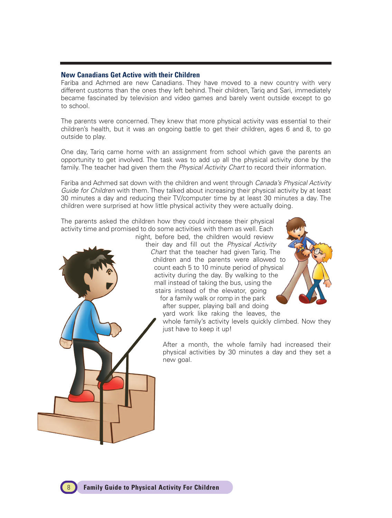#### **New Canadians Get Active with their Children**

Fariba and Achmed are new Canadians. They have moved to a new country with very different customs than the ones they left behind. Their children, Tariq and Sari, immediately became fascinated by television and video games and barely went outside except to go to school.

The parents were concerned. They knew that more physical activity was essential to their children's health, but it was an ongoing battle to get their children, ages 6 and 8, to go outside to play.

One day, Tariq came home with an assignment from school which gave the parents an opportunity to get involved. The task was to add up all the physical activity done by the family. The teacher had given them the *Physical Activity Chart* to record their information.

Fariba and Achmed sat down with the children and went through Canada's Physical Activity Guide for Children with them. They talked about increasing their physical activity by at least 30 minutes a day and reducing their TV/computer time by at least 30 minutes a day. The children were surprised at how little physical activity they were actually doing.

The parents asked the children how they could increase their physical activity time and promised to do some activities with them as well. Each night, before bed, the children would review



their day and fill out the Physical Activity Chart that the teacher had given Tariq. The children and the parents were allowed to count each 5 to 10 minute period of physical activity during the day. By walking to the mall instead of taking the bus, using the stairs instead of the elevator, going for a family walk or romp in the park after supper, playing ball and doing

- yard work like raking the leaves, the
- whole family's activity levels quickly climbed. Now they just have to keep it up!

After a month, the whole family had increased their physical activities by 30 minutes a day and they set a new goal.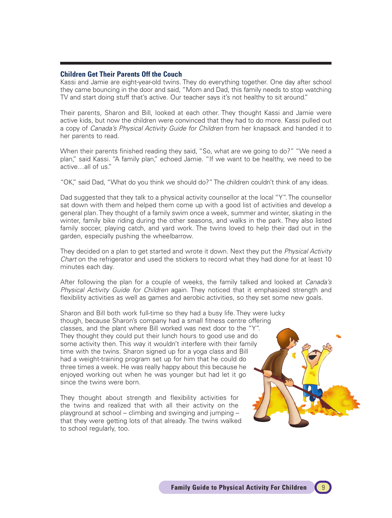#### **Children Get Their Parents Off the Couch**

Kassi and Jamie are eight-year-old twins. They do everything together. One day after school they came bouncing in the door and said, "Mom and Dad, this family needs to stop watching TV and start doing stuff that's active. Our teacher says it's not healthy to sit around."

Their parents, Sharon and Bill, looked at each other. They thought Kassi and Jamie were active kids, but now the children were convinced that they had to do more. Kassi pulled out a copy of Canada's Physical Activity Guide for Children from her knapsack and handed it to her parents to read.

When their parents finished reading they said, "So, what are we going to do?" "We need a plan," said Kassi. "A family plan," echoed Jamie. "If we want to be healthy, we need to be active…all of us."

"OK," said Dad, "What do you think we should do?" The children couldn't think of any ideas.

Dad suggested that they talk to a physical activity counsellor at the local "Y". The counsellor sat down with them and helped them come up with a good list of activities and develop a general plan. They thought of a family swim once a week, summer and winter, skating in the winter, family bike riding during the other seasons, and walks in the park. They also listed family soccer, playing catch, and yard work. The twins loved to help their dad out in the garden, especially pushing the wheelbarrow.

They decided on a plan to get started and wrote it down. Next they put the *Physical Activity* Chart on the refrigerator and used the stickers to record what they had done for at least 10 minutes each day.

After following the plan for a couple of weeks, the family talked and looked at *Canada's* Physical Activity Guide for Children again. They noticed that it emphasized strength and flexibility activities as well as games and aerobic activities, so they set some new goals.

Sharon and Bill both work full-time so they had a busy life. They were lucky though, because Sharon's company had a small fitness centre offering classes, and the plant where Bill worked was next door to the "Y". They thought they could put their lunch hours to good use and do some activity then. This way it wouldn't interfere with their family time with the twins. Sharon signed up for a yoga class and Bill had a weight-training program set up for him that he could do three times a week. He was really happy about this because he enjoyed working out when he was younger but had let it go since the twins were born.

They thought about strength and flexibility activities for the twins and realized that with all their activity on the playground at school – climbing and swinging and jumping – that they were getting lots of that already. The twins walked to school regularly, too.

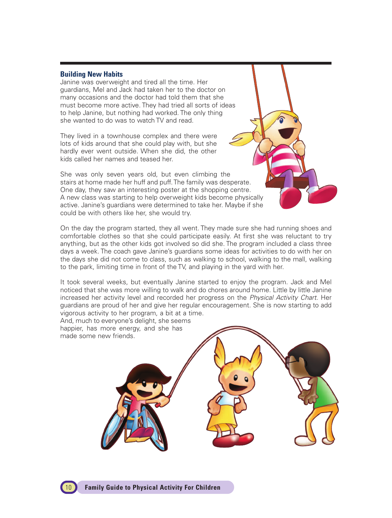#### **Building New Habits**

Janine was overweight and tired all the time. Her guardians, Mel and Jack had taken her to the doctor on many occasions and the doctor had told them that she must become more active. They had tried all sorts of ideas to help Janine, but nothing had worked. The only thing she wanted to do was to watch TV and read.

They lived in a townhouse complex and there were lots of kids around that she could play with, but she hardly ever went outside. When she did, the other kids called her names and teased her.

She was only seven years old, but even climbing the stairs at home made her huff and puff. The family was desperate. One day, they saw an interesting poster at the shopping centre. A new class was starting to help overweight kids become physically active. Janine's guardians were determined to take her. Maybe if she could be with others like her, she would try.

On the day the program started, they all went. They made sure she had running shoes and comfortable clothes so that she could participate easily. At first she was reluctant to try anything, but as the other kids got involved so did she. The program included a class three days a week. The coach gave Janine's guardians some ideas for activities to do with her on the days she did not come to class, such as walking to school, walking to the mall, walking to the park, limiting time in front of the TV, and playing in the yard with her.

It took several weeks, but eventually Janine started to enjoy the program. Jack and Mel noticed that she was more willing to walk and do chores around home. Little by little Janine increased her activity level and recorded her progress on the Physical Activity Chart. Her guardians are proud of her and give her regular encouragement. She is now starting to add vigorous activity to her program, a bit at a time.

And, much to everyone's delight, she seems happier, has more energy, and she has made some new friends.

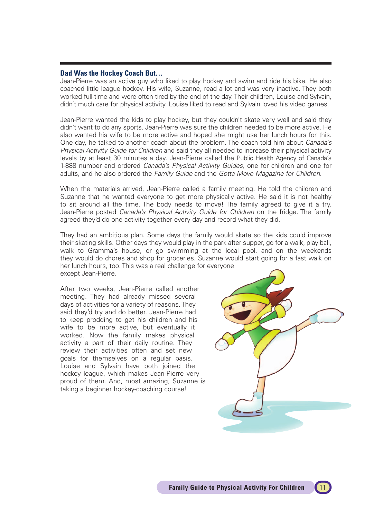#### **Dad Was the Hockey Coach But…**

Jean-Pierre was an active guy who liked to play hockey and swim and ride his bike. He also coached little league hockey. His wife, Suzanne, read a lot and was very inactive. They both worked full-time and were often tired by the end of the day. Their children, Louise and Sylvain, didn't much care for physical activity. Louise liked to read and Sylvain loved his video games.

Jean-Pierre wanted the kids to play hockey, but they couldn't skate very well and said they didn't want to do any sports. Jean-Pierre was sure the children needed to be more active. He also wanted his wife to be more active and hoped she might use her lunch hours for this. One day, he talked to another coach about the problem. The coach told him about *Canada's* Physical Activity Guide for Children and said they all needed to increase their physical activity levels by at least 30 minutes a day. Jean-Pierre called the Public Health Agency of Canada's 1-888 number and ordered Canada's Physical Activity Guides, one for children and one for adults, and he also ordered the Family Guide and the Gotta Move Magazine for Children.

When the materials arrived, Jean-Pierre called a family meeting. He told the children and Suzanne that he wanted everyone to get more physically active. He said it is not healthy to sit around all the time. The body needs to move! The family agreed to give it a try. Jean-Pierre posted Canada's Physical Activity Guide for Children on the fridge. The family agreed they'd do one activity together every day and record what they did.

They had an ambitious plan. Some days the family would skate so the kids could improve their skating skills. Other days they would play in the park after supper, go for a walk, play ball, walk to Gramma's house, or go swimming at the local pool, and on the weekends they would do chores and shop for groceries. Suzanne would start going for a fast walk on her lunch hours, too. This was a real challenge for everyone except Jean-Pierre.

After two weeks, Jean-Pierre called another meeting. They had already missed several days of activities for a variety of reasons. They said they'd try and do better. Jean-Pierre had to keep prodding to get his children and his wife to be more active, but eventually it worked. Now the family makes physical activity a part of their daily routine. They review their activities often and set new goals for themselves on a regular basis. Louise and Sylvain have both joined the hockey league, which makes Jean-Pierre very proud of them. And, most amazing, Suzanne is taking a beginner hockey-coaching course!